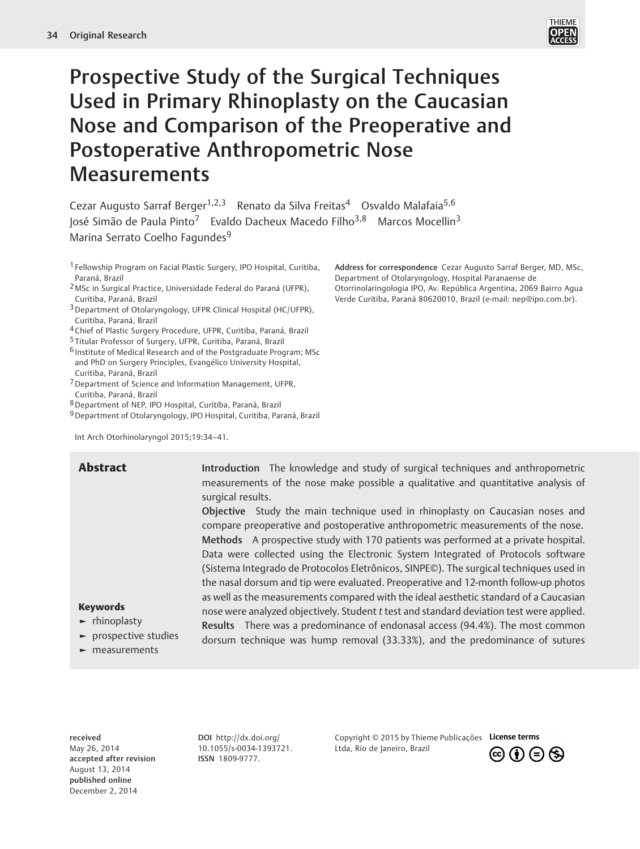

# Prospective Study of the Surgical Techniques Used in Primary Rhinoplasty on the Caucasian Nose and Comparison of the Preoperative and Postoperative Anthropometric Nose **Measurements**

Cezar Augusto Sarraf Berger<sup>1,2,3</sup> Renato da Silva Freitas<sup>4</sup> Osvaldo Malafaia<sup>5,6</sup> José Simão de Paula Pinto<sup>7</sup> Evaldo Dacheux Macedo Filho<sup>3,8</sup> Marcos Mocellin<sup>3</sup> Marina Serrato Coelho Fagundes<sup>9</sup>

- 1 Fellowship Program on Facial Plastic Surgery, IPO Hospital, Curitiba, Paraná, Brazil
- 2 MSc in Surgical Practice, Universidade Federal do Paraná (UFPR), Curitiba, Paraná, Brazil
- 3Department of Otolaryngology, UFPR Clinical Hospital (HC/UFPR), Curitiba, Paraná, Brazil
- 4Chief of Plastic Surgery Procedure, UFPR, Curitiba, Paraná, Brazil
- 5 Titular Professor of Surgery, UFPR, Curitiba, Paraná, Brazil
- 6 Institute of Medical Research and of the Postgraduate Program; MSc and PhD on Surgery Principles, Evangélico University Hospital, Curitiba, Paraná, Brazil
- 7Department of Science and Information Management, UFPR, Curitiba, Paraná, Brazil
- 8Department of NEP, IPO Hospital, Curitiba, Paraná, Brazil
- 9Department of Otolaryngology, IPO Hospital, Curitiba, Paraná, Brazil

Int Arch Otorhinolaryngol 2015;19:34–41.

**Abstract** Introduction The knowledge and study of surgical techniques and anthropometric measurements of the nose make possible a qualitative and quantitative analysis of surgical results.

> Objective Study the main technique used in rhinoplasty on Caucasian noses and compare preoperative and postoperative anthropometric measurements of the nose. Methods A prospective study with 170 patients was performed at a private hospital. Data were collected using the Electronic System Integrated of Protocols software (Sistema Integrado de Protocolos Eletrônicos, SINPE©). The surgical techniques used in the nasal dorsum and tip were evaluated. Preoperative and 12-month follow-up photos as well as the measurements compared with the ideal aesthetic standard of a Caucasian nose were analyzed objectively. Student t test and standard deviation test were applied. Results There was a predominance of endonasal access (94.4%). The most common dorsum technique was hump removal (33.33%), and the predominance of sutures

#### Keywords

- ► rhinoplasty
- ► prospective studies
- ► measurements

received May 26, 2014 accepted after revision August 13, 2014 published online December 2, 2014

DOI http://dx.doi.org/ 10.1055/s-0034-1393721. ISSN 1809-9777.

Copyright © 2015 by Thieme Publicações License terms Ltda, Rio de Janeiro, Brazil



Address for correspondence Cezar Augusto Sarraf Berger, MD, MSc, Department of Otolaryngology, Hospital Paranaense de Otorrinolaringologia IPO, Av. República Argentina, 2069 Bairro Agua Verde Curitiba, Paraná 80620010, Brazil (e-mail: nep@ipo.com.br).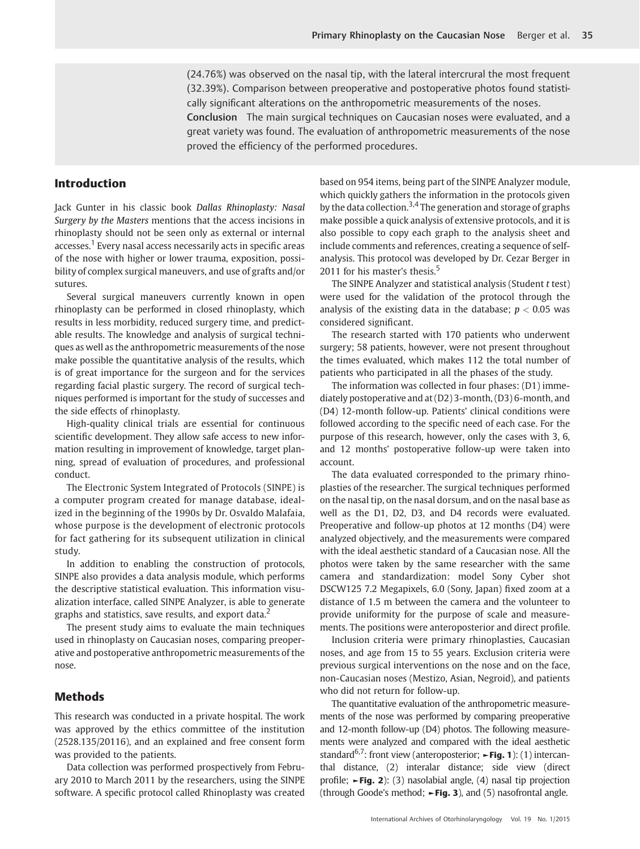(24.76%) was observed on the nasal tip, with the lateral intercrural the most frequent (32.39%). Comparison between preoperative and postoperative photos found statistically significant alterations on the anthropometric measurements of the noses.

Conclusion The main surgical techniques on Caucasian noses were evaluated, and a great variety was found. The evaluation of anthropometric measurements of the nose proved the efficiency of the performed procedures.

#### Introduction

Jack Gunter in his classic book Dallas Rhinoplasty: Nasal Surgery by the Masters mentions that the access incisions in rhinoplasty should not be seen only as external or internal accesses.<sup>1</sup> Every nasal access necessarily acts in specific areas of the nose with higher or lower trauma, exposition, possibility of complex surgical maneuvers, and use of grafts and/or sutures.

Several surgical maneuvers currently known in open rhinoplasty can be performed in closed rhinoplasty, which results in less morbidity, reduced surgery time, and predictable results. The knowledge and analysis of surgical techniques as well as the anthropometric measurements of the nose make possible the quantitative analysis of the results, which is of great importance for the surgeon and for the services regarding facial plastic surgery. The record of surgical techniques performed is important for the study of successes and the side effects of rhinoplasty.

High-quality clinical trials are essential for continuous scientific development. They allow safe access to new information resulting in improvement of knowledge, target planning, spread of evaluation of procedures, and professional conduct.

The Electronic System Integrated of Protocols (SINPE) is a computer program created for manage database, idealized in the beginning of the 1990s by Dr. Osvaldo Malafaia, whose purpose is the development of electronic protocols for fact gathering for its subsequent utilization in clinical study.

In addition to enabling the construction of protocols, SINPE also provides a data analysis module, which performs the descriptive statistical evaluation. This information visualization interface, called SINPE Analyzer, is able to generate graphs and statistics, save results, and export data.<sup>2</sup>

The present study aims to evaluate the main techniques used in rhinoplasty on Caucasian noses, comparing preoperative and postoperative anthropometric measurements of the nose.

# Methods

This research was conducted in a private hospital. The work was approved by the ethics committee of the institution (2528.135/20116), and an explained and free consent form was provided to the patients.

Data collection was performed prospectively from February 2010 to March 2011 by the researchers, using the SINPE software. A specific protocol called Rhinoplasty was created based on 954 items, being part of the SINPE Analyzer module, which quickly gathers the information in the protocols given by the data collection.<sup>3,4</sup> The generation and storage of graphs make possible a quick analysis of extensive protocols, and it is also possible to copy each graph to the analysis sheet and include comments and references, creating a sequence of selfanalysis. This protocol was developed by Dr. Cezar Berger in 2011 for his master's thesis.<sup>5</sup>

The SINPE Analyzer and statistical analysis (Student t test) were used for the validation of the protocol through the analysis of the existing data in the database;  $p < 0.05$  was considered significant.

The research started with 170 patients who underwent surgery; 58 patients, however, were not present throughout the times evaluated, which makes 112 the total number of patients who participated in all the phases of the study.

The information was collected in four phases: (D1) immediately postoperative and at (D2) 3-month, (D3) 6-month, and (D4) 12-month follow-up. Patients' clinical conditions were followed according to the specific need of each case. For the purpose of this research, however, only the cases with 3, 6, and 12 months' postoperative follow-up were taken into account.

The data evaluated corresponded to the primary rhinoplasties of the researcher. The surgical techniques performed on the nasal tip, on the nasal dorsum, and on the nasal base as well as the D1, D2, D3, and D4 records were evaluated. Preoperative and follow-up photos at 12 months (D4) were analyzed objectively, and the measurements were compared with the ideal aesthetic standard of a Caucasian nose. All the photos were taken by the same researcher with the same camera and standardization: model Sony Cyber shot DSCW125 7.2 Megapixels, 6.0 (Sony, Japan) fixed zoom at a distance of 1.5 m between the camera and the volunteer to provide uniformity for the purpose of scale and measurements. The positions were anteroposterior and direct profile.

Inclusion criteria were primary rhinoplasties, Caucasian noses, and age from 15 to 55 years. Exclusion criteria were previous surgical interventions on the nose and on the face, non-Caucasian noses (Mestizo, Asian, Negroid), and patients who did not return for follow-up.

The quantitative evaluation of the anthropometric measurements of the nose was performed by comparing preoperative and 12-month follow-up (D4) photos. The following measurements were analyzed and compared with the ideal aesthetic standard<sup>6,7</sup>: front view (anteroposterior;  $\blacktriangleright$  Fig. 1): (1) intercanthal distance, (2) interalar distance; side view (direct profile; ►Fig. 2): (3) nasolabial angle, (4) nasal tip projection (through Goode's method;  $\blacktriangleright$  Fig. 3), and (5) nasofrontal angle.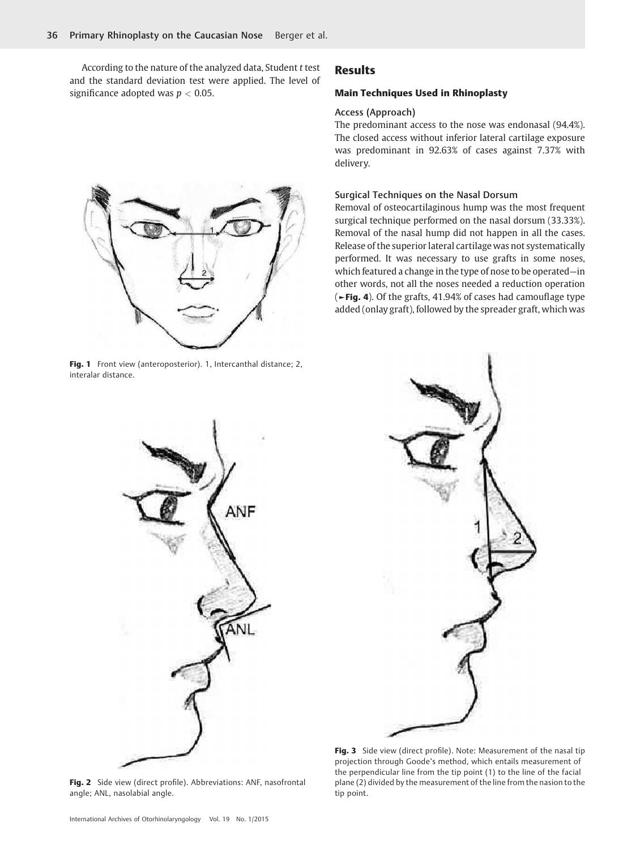According to the nature of the analyzed data, Student t test and the standard deviation test were applied. The level of significance adopted was  $p < 0.05$ .

# Results

#### Main Techniques Used in Rhinoplasty

#### Access (Approach)

The predominant access to the nose was endonasal (94.4%). The closed access without inferior lateral cartilage exposure was predominant in 92.63% of cases against 7.37% with delivery.

#### Surgical Techniques on the Nasal Dorsum

Removal of osteocartilaginous hump was the most frequent surgical technique performed on the nasal dorsum (33.33%). Removal of the nasal hump did not happen in all the cases. Release of the superior lateral cartilage was not systematically performed. It was necessary to use grafts in some noses, which featured a change in the type of nose to be operated—in other words, not all the noses needed a reduction operation (►Fig. 4). Of the grafts, 41.94% of cases had camouflage type added (onlay graft), followed by the spreader graft, which was



Fig. 3 Side view (direct profile). Note: Measurement of the nasal tip projection through Goode's method, which entails measurement of the perpendicular line from the tip point (1) to the line of the facial plane (2) divided by the measurement of the line from the nasion to the tip point.

Fig. 2 Side view (direct profile). Abbreviations: ANF, nasofrontal angle; ANL, nasolabial angle.



Fig. 1 Front view (anteroposterior). 1, Intercanthal distance; 2, interalar distance.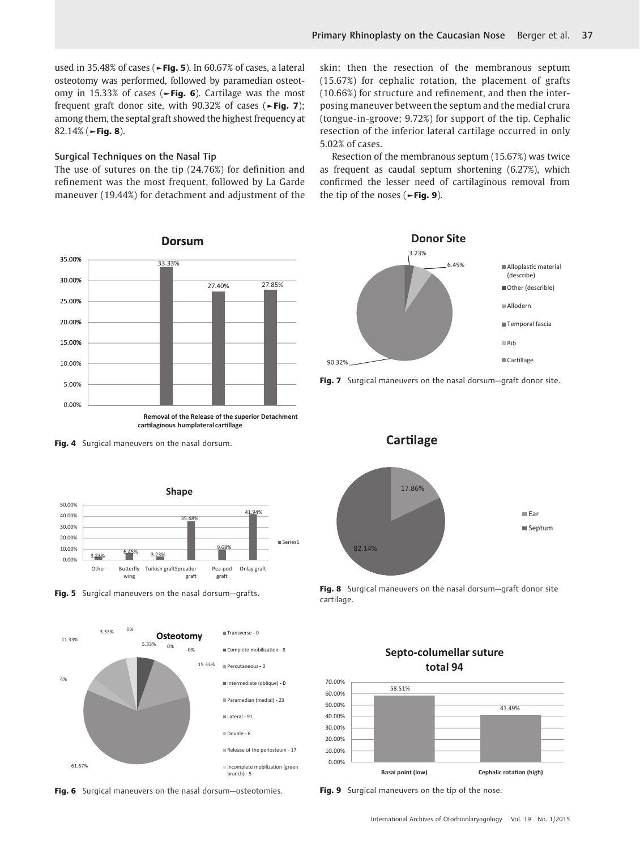used in 35.48% of cases ( $\blacktriangleright$ Fig. 5). In 60.67% of cases, a lateral osteotomy was performed, followed by paramedian osteotomy in 15.33% of cases ( $\blacktriangleright$ Fig. 6). Cartilage was the most frequent graft donor site, with  $90.32\%$  of cases ( $\blacktriangleright$ Fig. 7); among them, the septal graft showed the highest frequency at 82.14% (►Fig. 8).

#### Surgical Techniques on the Nasal Tip

The use of sutures on the tip (24.76%) for definition and refinement was the most frequent, followed by La Garde maneuver (19.44%) for detachment and adjustment of the



Fig. 4 Surgical maneuvers on the nasal dorsum.







Fig. 6 Surgical maneuvers on the nasal dorsum-osteotomies.

skin; then the resection of the membranous septum (15.67%) for cephalic rotation, the placement of grafts (10.66%) for structure and refinement, and then the interposing maneuver between the septum and the medial crura (tongue-in-groove; 9.72%) for support of the tip. Cephalic resection of the inferior lateral cartilage occurred in only 5.02% of cases.

Resection of the membranous septum (15.67%) was twice as frequent as caudal septum shortening (6.27%), which confirmed the lesser need of cartilaginous removal from the tip of the noses ( $\blacktriangleright$ Fig. 9).



Fig. 7 Surgical maneuvers on the nasal dorsum-graft donor site.



Fig. 8 Surgical maneuvers on the nasal dorsum-graft donor site cartilage.

Septo-columellar suture



Fig. 9 Surgical maneuvers on the tip of the nose.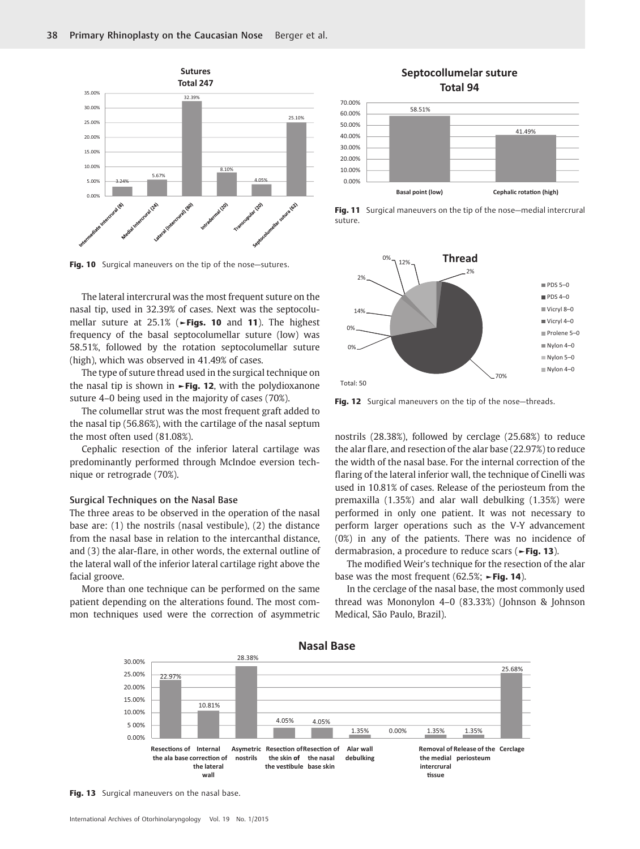

Fig. 10 Surgical maneuvers on the tip of the nose-sutures.

The lateral intercrural was the most frequent suture on the nasal tip, used in 32.39% of cases. Next was the septocolumellar suture at 25.1% (►Figs. 10 and 11). The highest frequency of the basal septocolumellar suture (low) was 58.51%, followed by the rotation septocolumellar suture (high), which was observed in 41.49% of cases.

The type of suture thread used in the surgical technique on the nasal tip is shown in  $\blacktriangleright$  Fig. 12, with the polydioxanone suture 4–0 being used in the majority of cases (70%).

The columellar strut was the most frequent graft added to the nasal tip (56.86%), with the cartilage of the nasal septum the most often used (81.08%).

Cephalic resection of the inferior lateral cartilage was predominantly performed through McIndoe eversion technique or retrograde (70%).

#### Surgical Techniques on the Nasal Base

The three areas to be observed in the operation of the nasal base are: (1) the nostrils (nasal vestibule), (2) the distance from the nasal base in relation to the intercanthal distance, and (3) the alar-flare, in other words, the external outline of the lateral wall of the inferior lateral cartilage right above the facial groove.

More than one technique can be performed on the same patient depending on the alterations found. The most common techniques used were the correction of asymmetric

# **Septocollumelar suture Total 94**



Fig. 11 Surgical maneuvers on the tip of the nose-medial intercrural suture.



Fig. 12 Surgical maneuvers on the tip of the nose-threads.

nostrils (28.38%), followed by cerclage (25.68%) to reduce the alar flare, and resection of the alar base (22.97%) to reduce the width of the nasal base. For the internal correction of the flaring of the lateral inferior wall, the technique of Cinelli was used in 10.81% of cases. Release of the periosteum from the premaxilla (1.35%) and alar wall debulking (1.35%) were performed in only one patient. It was not necessary to perform larger operations such as the V-Y advancement (0%) in any of the patients. There was no incidence of dermabrasion, a procedure to reduce scars (►Fig. 13).

The modified Weir's technique for the resection of the alar base was the most frequent (62.5%; ►Fig. 14).

In the cerclage of the nasal base, the most commonly used thread was Mononylon 4–0 (83.33%) (Johnson & Johnson Medical, São Paulo, Brazil).



**Nasal Base**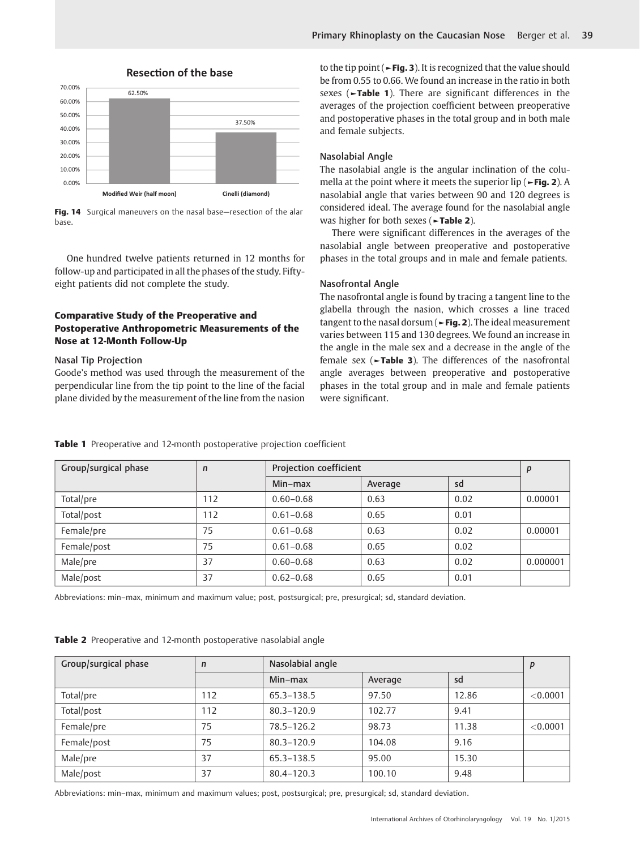

## **Resection of the base**

Fig. 14 Surgical maneuvers on the nasal base-resection of the alar base.

One hundred twelve patients returned in 12 months for follow-up and participated in all the phases of the study. Fiftyeight patients did not complete the study.

# Comparative Study of the Preoperative and Postoperative Anthropometric Measurements of the Nose at 12-Month Follow-Up

#### Nasal Tip Projection

Goode's method was used through the measurement of the perpendicular line from the tip point to the line of the facial plane divided by the measurement of the line from the nasion to the tip point ( $\blacktriangleright$  Fig. 3). It is recognized that the value should be from 0.55 to 0.66. We found an increase in the ratio in both sexes (►Table 1). There are significant differences in the averages of the projection coefficient between preoperative and postoperative phases in the total group and in both male and female subjects.

#### Nasolabial Angle

The nasolabial angle is the angular inclination of the columella at the point where it meets the superior lip (►Fig. 2). A nasolabial angle that varies between 90 and 120 degrees is considered ideal. The average found for the nasolabial angle was higher for both sexes (►Table 2).

There were significant differences in the averages of the nasolabial angle between preoperative and postoperative phases in the total groups and in male and female patients.

#### Nasofrontal Angle

The nasofrontal angle is found by tracing a tangent line to the glabella through the nasion, which crosses a line traced tangent to the nasal dorsum ( $\blacktriangleright$  Fig. 2). The ideal measurement varies between 115 and 130 degrees. We found an increase in the angle in the male sex and a decrease in the angle of the female sex (►Table 3). The differences of the nasofrontal angle averages between preoperative and postoperative phases in the total group and in male and female patients were significant.

| Group/surgical phase | $\mathsf{n}$ | Projection coefficient |         |      | p        |
|----------------------|--------------|------------------------|---------|------|----------|
|                      |              | $Min-max$              | Average | sd   |          |
| Total/pre            | 112          | $0.60 - 0.68$          | 0.63    | 0.02 | 0.00001  |
| Total/post           | 112          | $0.61 - 0.68$          | 0.65    | 0.01 |          |
| Female/pre           | 75           | $0.61 - 0.68$          | 0.63    | 0.02 | 0.00001  |
| Female/post          | 75           | $0.61 - 0.68$          | 0.65    | 0.02 |          |
| Male/pre             | 37           | $0.60 - 0.68$          | 0.63    | 0.02 | 0.000001 |
| Male/post            | 37           | $0.62 - 0.68$          | 0.65    | 0.01 |          |

Table 1 Preoperative and 12-month postoperative projection coefficient

Abbreviations: min–max, minimum and maximum value; post, postsurgical; pre, presurgical; sd, standard deviation.

|  | Table 2 Preoperative and 12-month postoperative nasolabial angle |  |  |  |
|--|------------------------------------------------------------------|--|--|--|
|--|------------------------------------------------------------------|--|--|--|

| Group/surgical phase | $\mathsf{n}$ | Nasolabial angle |         |       | p        |
|----------------------|--------------|------------------|---------|-------|----------|
|                      |              | Min-max          | Average | sd    |          |
| Total/pre            | 112          | 65.3-138.5       | 97.50   | 12.86 | < 0.0001 |
| Total/post           | 112          | $80.3 - 120.9$   | 102.77  | 9.41  |          |
| Female/pre           | 75           | 78.5-126.2       | 98.73   | 11.38 | < 0.0001 |
| Female/post          | 75           | $80.3 - 120.9$   | 104.08  | 9.16  |          |
| Male/pre             | 37           | 65.3-138.5       | 95.00   | 15.30 |          |
| Male/post            | 37           | $80.4 - 120.3$   | 100.10  | 9.48  |          |

Abbreviations: min–max, minimum and maximum values; post, postsurgical; pre, presurgical; sd, standard deviation.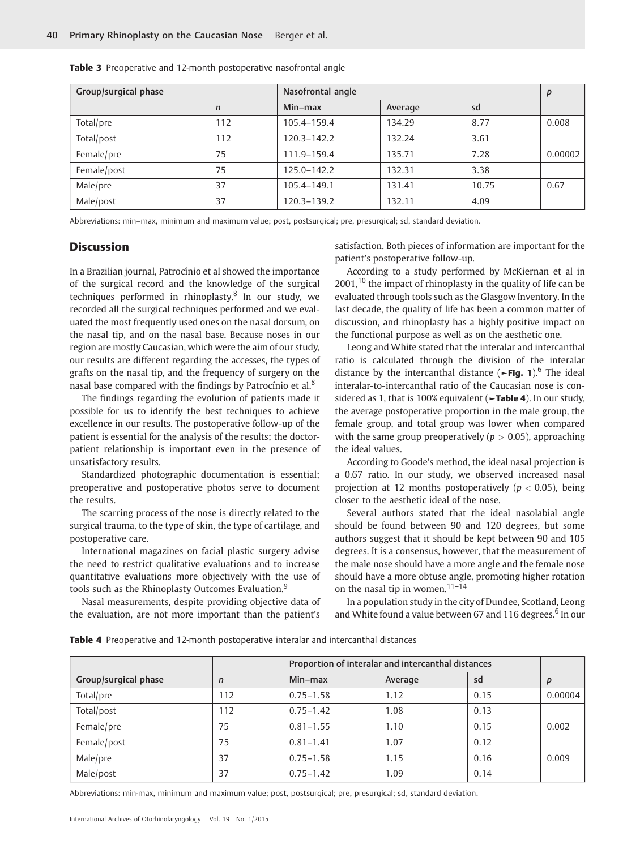| Group/surgical phase |     | Nasofrontal angle |         |       | P       |
|----------------------|-----|-------------------|---------|-------|---------|
|                      | n   | Min-max           | Average | sd    |         |
| Total/pre            | 112 | 105.4-159.4       | 134.29  | 8.77  | 0.008   |
| Total/post           | 112 | $120.3 - 142.2$   | 132.24  | 3.61  |         |
| Female/pre           | 75  | 111.9-159.4       | 135.71  | 7.28  | 0.00002 |
| Female/post          | 75  | 125.0-142.2       | 132.31  | 3.38  |         |
| Male/pre             | 37  | 105.4-149.1       | 131.41  | 10.75 | 0.67    |
| Male/post            | 37  | 120.3-139.2       | 132.11  | 4.09  |         |

Table 3 Preoperative and 12-month postoperative nasofrontal angle

Abbreviations: min–max, minimum and maximum value; post, postsurgical; pre, presurgical; sd, standard deviation.

### **Discussion**

In a Brazilian journal, Patrocínio et al showed the importance of the surgical record and the knowledge of the surgical techniques performed in rhinoplasty. $8$  In our study, we recorded all the surgical techniques performed and we evaluated the most frequently used ones on the nasal dorsum, on the nasal tip, and on the nasal base. Because noses in our region are mostly Caucasian, which were the aim of our study, our results are different regarding the accesses, the types of grafts on the nasal tip, and the frequency of surgery on the nasal base compared with the findings by Patrocínio et al. $8$ 

The findings regarding the evolution of patients made it possible for us to identify the best techniques to achieve excellence in our results. The postoperative follow-up of the patient is essential for the analysis of the results; the doctorpatient relationship is important even in the presence of unsatisfactory results.

Standardized photographic documentation is essential; preoperative and postoperative photos serve to document the results.

The scarring process of the nose is directly related to the surgical trauma, to the type of skin, the type of cartilage, and postoperative care.

International magazines on facial plastic surgery advise the need to restrict qualitative evaluations and to increase quantitative evaluations more objectively with the use of tools such as the Rhinoplasty Outcomes Evaluation.<sup>9</sup>

Nasal measurements, despite providing objective data of the evaluation, are not more important than the patient's

satisfaction. Both pieces of information are important for the patient's postoperative follow-up.

According to a study performed by McKiernan et al in  $2001$ ,<sup>10</sup> the impact of rhinoplasty in the quality of life can be evaluated through tools such as the Glasgow Inventory. In the last decade, the quality of life has been a common matter of discussion, and rhinoplasty has a highly positive impact on the functional purpose as well as on the aesthetic one.

Leong and White stated that the interalar and intercanthal ratio is calculated through the division of the interalar distance by the intercanthal distance ( $\blacktriangleright$ Fig. 1).<sup>6</sup> The ideal interalar-to-intercanthal ratio of the Caucasian nose is considered as 1, that is 100% equivalent (►Table 4). In our study, the average postoperative proportion in the male group, the female group, and total group was lower when compared with the same group preoperatively ( $p > 0.05$ ), approaching the ideal values.

According to Goode's method, the ideal nasal projection is a 0.67 ratio. In our study, we observed increased nasal projection at 12 months postoperatively ( $p < 0.05$ ), being closer to the aesthetic ideal of the nose.

Several authors stated that the ideal nasolabial angle should be found between 90 and 120 degrees, but some authors suggest that it should be kept between 90 and 105 degrees. It is a consensus, however, that the measurement of the male nose should have a more angle and the female nose should have a more obtuse angle, promoting higher rotation on the nasal tip in women. $11-14$ 

In a population study in the city of Dundee, Scotland, Leong and White found a value between 67 and 116 degrees.<sup>6</sup> In our

Table 4 Preoperative and 12-month postoperative interalar and intercanthal distances

|                      |              | Proportion of interalar and intercanthal distances |         |      |         |
|----------------------|--------------|----------------------------------------------------|---------|------|---------|
| Group/surgical phase | $\mathsf{n}$ | Min-max                                            | Average | sd   | p       |
| Total/pre            | 112          | $0.75 - 1.58$                                      | 1.12    | 0.15 | 0.00004 |
| Total/post           | 112          | $0.75 - 1.42$                                      | 1.08    | 0.13 |         |
| Female/pre           | 75           | $0.81 - 1.55$                                      | 1.10    | 0.15 | 0.002   |
| Female/post          | 75           | $0.81 - 1.41$                                      | 1.07    | 0.12 |         |
| Male/pre             | 37           | $0.75 - 1.58$                                      | 1.15    | 0.16 | 0.009   |
| Male/post            | 37           | $0.75 - 1.42$                                      | 1.09    | 0.14 |         |

Abbreviations: min-max, minimum and maximum value; post, postsurgical; pre, presurgical; sd, standard deviation.